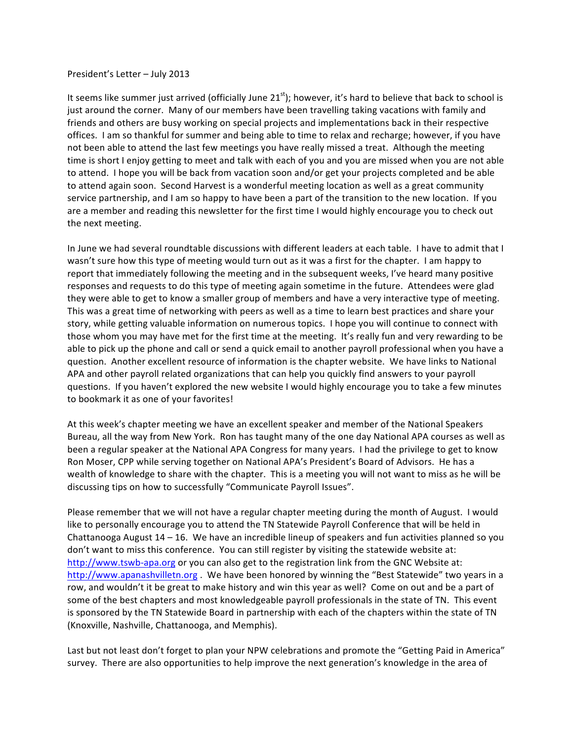## President's Letter - July 2013

It seems like summer just arrived (officially June  $21^{st}$ ); however, it's hard to believe that back to school is just around the corner. Many of our members have been travelling taking vacations with family and friends and others are busy working on special projects and implementations back in their respective offices. I am so thankful for summer and being able to time to relax and recharge; however, if you have not been able to attend the last few meetings you have really missed a treat. Although the meeting time is short I enjoy getting to meet and talk with each of you and you are missed when you are not able to attend. I hope you will be back from vacation soon and/or get your projects completed and be able to attend again soon. Second Harvest is a wonderful meeting location as well as a great community service partnership, and I am so happy to have been a part of the transition to the new location. If you are a member and reading this newsletter for the first time I would highly encourage you to check out the next meeting.

In June we had several roundtable discussions with different leaders at each table. I have to admit that I wasn't sure how this type of meeting would turn out as it was a first for the chapter. I am happy to report that immediately following the meeting and in the subsequent weeks, I've heard many positive responses and requests to do this type of meeting again sometime in the future. Attendees were glad they were able to get to know a smaller group of members and have a very interactive type of meeting. This was a great time of networking with peers as well as a time to learn best practices and share your story, while getting valuable information on numerous topics. I hope you will continue to connect with those whom you may have met for the first time at the meeting. It's really fun and very rewarding to be able to pick up the phone and call or send a quick email to another payroll professional when you have a question. Another excellent resource of information is the chapter website. We have links to National APA and other payroll related organizations that can help you quickly find answers to your payroll questions. If you haven't explored the new website I would highly encourage you to take a few minutes to bookmark it as one of your favorites!

At this week's chapter meeting we have an excellent speaker and member of the National Speakers Bureau, all the way from New York. Ron has taught many of the one day National APA courses as well as been a regular speaker at the National APA Congress for many years. I had the privilege to get to know Ron Moser, CPP while serving together on National APA's President's Board of Advisors. He has a wealth of knowledge to share with the chapter. This is a meeting you will not want to miss as he will be discussing tips on how to successfully "Communicate Payroll Issues".

Please remember that we will not have a regular chapter meeting during the month of August. I would like to personally encourage you to attend the TN Statewide Payroll Conference that will be held in Chattanooga August  $14 - 16$ . We have an incredible lineup of speakers and fun activities planned so you don't want to miss this conference. You can still register by visiting the statewide website at: http://www.tswb-apa.org or you can also get to the registration link from the GNC Website at: http://www.apanashvilletn.org . We have been honored by winning the "Best Statewide" two years in a row, and wouldn't it be great to make history and win this year as well? Come on out and be a part of some of the best chapters and most knowledgeable payroll professionals in the state of TN. This event is sponsored by the TN Statewide Board in partnership with each of the chapters within the state of TN (Knoxville, Nashville, Chattanooga, and Memphis).

Last but not least don't forget to plan your NPW celebrations and promote the "Getting Paid in America" survey. There are also opportunities to help improve the next generation's knowledge in the area of